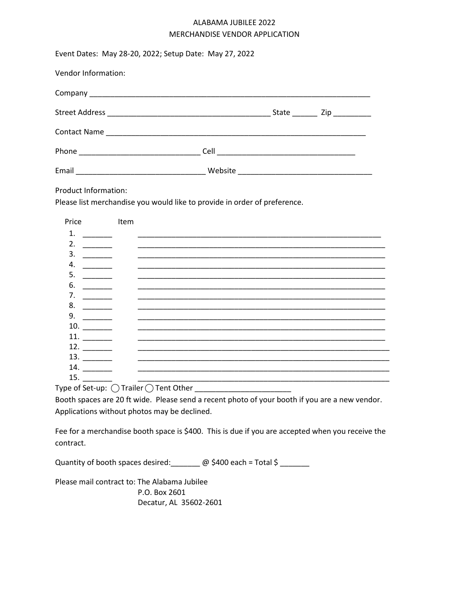## ALABAMA JUBILEE 2022 MERCHANDISE VENDOR APPLICATION

| Event Dates: May 28-20, 2022; Setup Date: May 27, 2022                                                                                                                                                                                                                                                                                                                                                                                                                                                                                                                                                                                                                                                                                                                                                                                                                                                                                                                                                                                                                                                                                                                                                                        |  |
|-------------------------------------------------------------------------------------------------------------------------------------------------------------------------------------------------------------------------------------------------------------------------------------------------------------------------------------------------------------------------------------------------------------------------------------------------------------------------------------------------------------------------------------------------------------------------------------------------------------------------------------------------------------------------------------------------------------------------------------------------------------------------------------------------------------------------------------------------------------------------------------------------------------------------------------------------------------------------------------------------------------------------------------------------------------------------------------------------------------------------------------------------------------------------------------------------------------------------------|--|
| Vendor Information:                                                                                                                                                                                                                                                                                                                                                                                                                                                                                                                                                                                                                                                                                                                                                                                                                                                                                                                                                                                                                                                                                                                                                                                                           |  |
|                                                                                                                                                                                                                                                                                                                                                                                                                                                                                                                                                                                                                                                                                                                                                                                                                                                                                                                                                                                                                                                                                                                                                                                                                               |  |
|                                                                                                                                                                                                                                                                                                                                                                                                                                                                                                                                                                                                                                                                                                                                                                                                                                                                                                                                                                                                                                                                                                                                                                                                                               |  |
|                                                                                                                                                                                                                                                                                                                                                                                                                                                                                                                                                                                                                                                                                                                                                                                                                                                                                                                                                                                                                                                                                                                                                                                                                               |  |
|                                                                                                                                                                                                                                                                                                                                                                                                                                                                                                                                                                                                                                                                                                                                                                                                                                                                                                                                                                                                                                                                                                                                                                                                                               |  |
|                                                                                                                                                                                                                                                                                                                                                                                                                                                                                                                                                                                                                                                                                                                                                                                                                                                                                                                                                                                                                                                                                                                                                                                                                               |  |
| Product Information:<br>Please list merchandise you would like to provide in order of preference.                                                                                                                                                                                                                                                                                                                                                                                                                                                                                                                                                                                                                                                                                                                                                                                                                                                                                                                                                                                                                                                                                                                             |  |
| <b>Price</b><br>Item<br>1.<br>3.<br>$\begin{tabular}{ccccc} \multicolumn{2}{c }{\textbf{1} & \textbf{2} & \textbf{3} & \textbf{4} & \textbf{5} & \textbf{5} & \textbf{6} & \textbf{6} & \textbf{7} & \textbf{8} & \textbf{8} & \textbf{9} & \textbf{10} & \textbf{10} & \textbf{10} & \textbf{10} & \textbf{10} & \textbf{10} & \textbf{10} & \textbf{10} & \textbf{10} & \textbf{10} & \textbf{10} & \textbf{10} & \textbf{10} & \textbf{10} & \textbf{1$<br><u> 1989 - Andrea Santa Andrea Andrea Andrea Andrea Andrea Andrea Andrea Andrea Andrea Andrea Andrea Andrea Andr</u><br>4.<br>5.<br>$\begin{tabular}{ccccc} \multicolumn{2}{c }{\textbf{1} & \multicolumn{2}{c }{\textbf{2} & \multicolumn{2}{c }{\textbf{3} & \multicolumn{2}{c }{\textbf{4} & \multicolumn{2}{c }{\textbf{5} & \multicolumn{2}{c }{\textbf{6} & \multicolumn{2}{c }{\textbf{6} & \multicolumn{2}{c }{\textbf{6} & \multicolumn{2}{c }{\textbf{6} & \multicolumn{2}{c }{\textbf{6} & \multicolumn{2}{c }{\textbf{6} & \multicolumn{2}{c }{\textbf{6} & \multicolumn{2}{$<br><u> 1989 - Johann John Stone, menydd y brenin ymgyr y gynnysg ymgyr y gyngyr y gyngyr y gyngyr y gyngyr y gyngyr</u><br>6.<br>$\overline{\phantom{a}}$<br>7.<br>8. |  |

Type of Set-up:  $\bigcirc$  Trailer  $\bigcirc$  Tent Other \_\_\_\_\_\_\_\_\_\_\_\_\_\_\_\_\_\_\_\_\_\_\_\_\_\_\_\_\_\_\_\_

11. \_\_\_\_\_\_\_ \_\_\_\_\_\_\_\_\_\_\_\_\_\_\_\_\_\_\_\_\_\_\_\_\_\_\_\_\_\_\_\_\_\_\_\_\_\_\_\_\_\_\_\_\_\_\_\_\_\_\_\_\_\_\_\_\_\_\_

Booth spaces are 20 ft wide. Please send a recent photo of your booth if you are a new vendor. Applications without photos may be declined.

9. \_\_\_\_\_\_\_ \_\_\_\_\_\_\_\_\_\_\_\_\_\_\_\_\_\_\_\_\_\_\_\_\_\_\_\_\_\_\_\_\_\_\_\_\_\_\_\_\_\_\_\_\_\_\_\_\_\_\_\_\_\_\_\_\_\_\_ 10. \_\_\_\_\_\_\_ \_\_\_\_\_\_\_\_\_\_\_\_\_\_\_\_\_\_\_\_\_\_\_\_\_\_\_\_\_\_\_\_\_\_\_\_\_\_\_\_\_\_\_\_\_\_\_\_\_\_\_\_\_\_\_\_\_\_\_

13. \_\_\_\_\_\_\_ \_\_\_\_\_\_\_\_\_\_\_\_\_\_\_\_\_\_\_\_\_\_\_\_\_\_\_\_\_\_\_\_\_\_\_\_\_\_\_\_\_\_\_\_\_\_\_\_\_\_\_\_\_\_\_\_\_\_\_\_ 14. \_\_\_\_\_\_\_ \_\_\_\_\_\_\_\_\_\_\_\_\_\_\_\_\_\_\_\_\_\_\_\_\_\_\_\_\_\_\_\_\_\_\_\_\_\_\_\_\_\_\_\_\_\_\_\_\_\_\_\_\_\_\_\_\_\_\_\_ 15. \_\_\_\_\_\_\_ \_\_\_\_\_\_\_\_\_\_\_\_\_\_\_\_\_\_\_\_\_\_\_\_\_\_\_\_\_\_\_\_\_\_\_\_\_\_\_\_\_\_\_\_\_\_\_\_\_\_\_\_\_\_\_\_\_\_\_\_

12. \_\_\_\_\_\_\_ \_\_\_\_\_\_\_\_\_\_\_\_\_\_\_\_\_\_\_\_\_\_\_\_\_\_\_\_\_\_\_\_\_\_\_\_\_\_\_\_\_\_\_\_\_\_\_\_\_\_\_\_\_\_\_\_\_\_\_\_

Fee for a merchandise booth space is \$400. This is due if you are accepted when you receive the contract.

Quantity of booth spaces desired:  $\qquad \qquad \textcircled{e}$  \$400 each = Total \$

Please mail contract to: The Alabama Jubilee P.O. Box 2601 Decatur, AL 35602-2601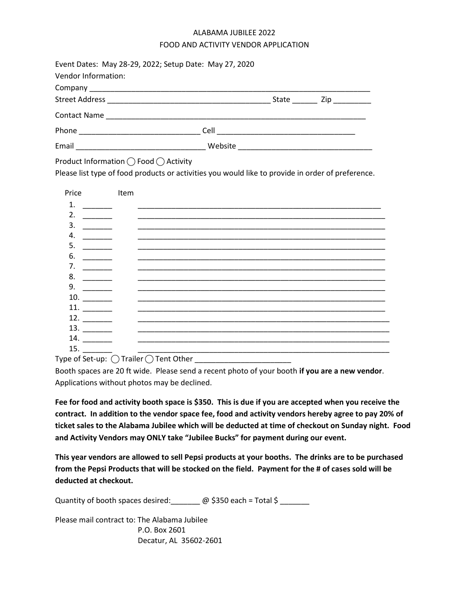## ALABAMA JUBILEE 2022 FOOD AND ACTIVITY VENDOR APPLICATION

| Event Dates: May 28-29, 2022; Setup Date: May 27, 2020<br>Vendor Information:                                                              |  |  |
|--------------------------------------------------------------------------------------------------------------------------------------------|--|--|
|                                                                                                                                            |  |  |
|                                                                                                                                            |  |  |
|                                                                                                                                            |  |  |
|                                                                                                                                            |  |  |
|                                                                                                                                            |  |  |
| Product Information ◯ Food ◯ Activity<br>Please list type of food products or activities you would like to provide in order of preference. |  |  |

| Price | Item                                                                                           |
|-------|------------------------------------------------------------------------------------------------|
| 1.    |                                                                                                |
| 2.    |                                                                                                |
| 3.    |                                                                                                |
| 4.    |                                                                                                |
| 5.    |                                                                                                |
| 6.    |                                                                                                |
| 7.    |                                                                                                |
| 8.    |                                                                                                |
| 9.    |                                                                                                |
| 10.   |                                                                                                |
| 11.   |                                                                                                |
| 12.   |                                                                                                |
| 13.   |                                                                                                |
| 14.   |                                                                                                |
| 15.   | $\bigcap_{i=1}^n A_i = \bigcap_{i=1}^n A_i = \bigcap_{i=1}^n A_i$<br>╭<br>$\ddot{\phantom{0}}$ |

Type of Set-up:  $\bigcap$  Trailer  $\bigcap$  Tent Other

Booth spaces are 20 ft wide. Please send a recent photo of your booth **if you are a new vendor**. Applications without photos may be declined.

**Fee for food and activity booth space is \$350. This is due if you are accepted when you receive the contract. In addition to the vendor space fee, food and activity vendors hereby agree to pay 20% of ticket sales to the Alabama Jubilee which will be deducted at time of checkout on Sunday night. Food and Activity Vendors may ONLY take "Jubilee Bucks" for payment during our event.**

**This year vendors are allowed to sell Pepsi products at your booths. The drinks are to be purchased from the Pepsi Products that will be stocked on the field. Payment for the # of cases sold will be deducted at checkout.**

Quantity of booth spaces desired:  $\oslash$   $\oslash$  \$350 each = Total \$ \_\_\_\_\_

Please mail contract to: The Alabama Jubilee P.O. Box 2601 Decatur, AL 35602-2601